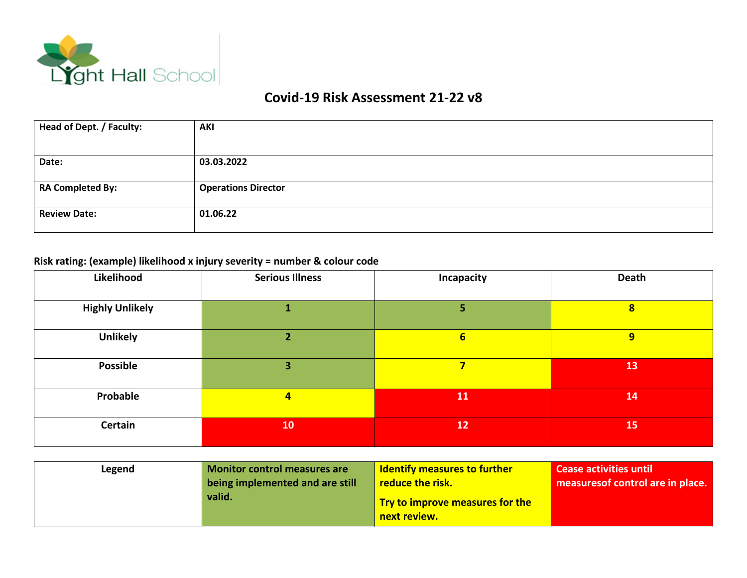

## **Covid-19 Risk Assessment 21-22 v8**

| Head of Dept. / Faculty: | AKI                        |
|--------------------------|----------------------------|
|                          |                            |
| Date:                    | 03.03.2022                 |
|                          |                            |
| <b>RA Completed By:</b>  | <b>Operations Director</b> |
| <b>Review Date:</b>      | 01.06.22                   |

## **Risk rating: (example) likelihood x injury severity = number & colour code**

| Likelihood             | <b>Serious Illness</b> | <b>Incapacity</b> | Death                   |
|------------------------|------------------------|-------------------|-------------------------|
|                        |                        |                   |                         |
| <b>Highly Unlikely</b> |                        | 57                | $\overline{\mathbf{8}}$ |
|                        |                        |                   |                         |
| <b>Unlikely</b>        |                        | $6\phantom{1}$    | 9                       |
|                        |                        |                   |                         |
| <b>Possible</b>        | 3                      | 7                 | 13                      |
|                        |                        |                   |                         |
| Probable               | $\overline{4}$         | 11                | 14                      |
|                        |                        |                   |                         |
| <b>Certain</b>         | 10                     | 12                | 15                      |
|                        |                        |                   |                         |

| Legend | Monitor control measures are              | <b>Identify measures to further</b>                                        | <b>Cease activities until</b>     |
|--------|-------------------------------------------|----------------------------------------------------------------------------|-----------------------------------|
|        | being implemented and are still<br>valid. | <b>reduce the risk.</b><br>Try to improve measures for the<br>next review. | measures of control are in place. |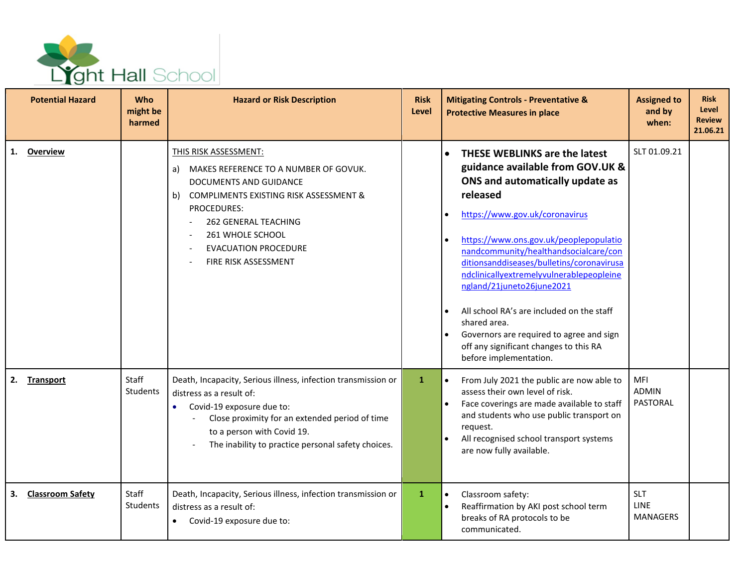

|    | <b>Potential Hazard</b> | <b>Who</b><br>might be<br>harmed | <b>Hazard or Risk Description</b>                                                                                                                                                                                                                                         | <b>Risk</b><br><b>Level</b> | <b>Mitigating Controls - Preventative &amp;</b><br><b>Protective Measures in place</b>                                                                                                                                                                                                                                                                                                                                                                                                                                                                       | <b>Assigned to</b><br>and by<br>when:        | <b>Risk</b><br>Level<br><b>Review</b><br>21.06.21 |
|----|-------------------------|----------------------------------|---------------------------------------------------------------------------------------------------------------------------------------------------------------------------------------------------------------------------------------------------------------------------|-----------------------------|--------------------------------------------------------------------------------------------------------------------------------------------------------------------------------------------------------------------------------------------------------------------------------------------------------------------------------------------------------------------------------------------------------------------------------------------------------------------------------------------------------------------------------------------------------------|----------------------------------------------|---------------------------------------------------|
| 1. | <b>Overview</b>         |                                  | THIS RISK ASSESSMENT:<br>a) MAKES REFERENCE TO A NUMBER OF GOVUK.<br>DOCUMENTS AND GUIDANCE<br>b) COMPLIMENTS EXISTING RISK ASSESSMENT &<br><b>PROCEDURES:</b><br><b>262 GENERAL TEACHING</b><br>261 WHOLE SCHOOL<br><b>EVACUATION PROCEDURE</b><br>FIRE RISK ASSESSMENT  |                             | <b>THESE WEBLINKS are the latest</b><br>guidance available from GOV.UK &<br>ONS and automatically update as<br>released<br>https://www.gov.uk/coronavirus<br>https://www.ons.gov.uk/peoplepopulatio<br>nandcommunity/healthandsocialcare/con<br>ditionsanddiseases/bulletins/coronavirusa<br>ndclinicallyextremelyvulnerablepeopleine<br>ngland/21juneto26june2021<br>All school RA's are included on the staff<br>$\bullet$<br>shared area.<br>Governors are required to agree and sign<br>off any significant changes to this RA<br>before implementation. | SLT 01.09.21                                 |                                                   |
| 2. | <b>Transport</b>        | Staff<br><b>Students</b>         | Death, Incapacity, Serious illness, infection transmission or<br>distress as a result of:<br>Covid-19 exposure due to:<br>$\bullet$<br>Close proximity for an extended period of time<br>to a person with Covid 19.<br>The inability to practice personal safety choices. | $\mathbf{1}$                | From July 2021 the public are now able to<br>assess their own level of risk.<br>Face coverings are made available to staff<br>and students who use public transport on<br>request.<br>All recognised school transport systems<br>are now fully available.                                                                                                                                                                                                                                                                                                    | MFI<br><b>ADMIN</b><br><b>PASTORAL</b>       |                                                   |
| 3. | <b>Classroom Safety</b> | Staff<br>Students                | Death, Incapacity, Serious illness, infection transmission or<br>distress as a result of:<br>Covid-19 exposure due to:<br>$\bullet$                                                                                                                                       | $\mathbf{1}$                | Classroom safety:<br>Reaffirmation by AKI post school term<br>breaks of RA protocols to be<br>communicated.                                                                                                                                                                                                                                                                                                                                                                                                                                                  | <b>SLT</b><br><b>LINE</b><br><b>MANAGERS</b> |                                                   |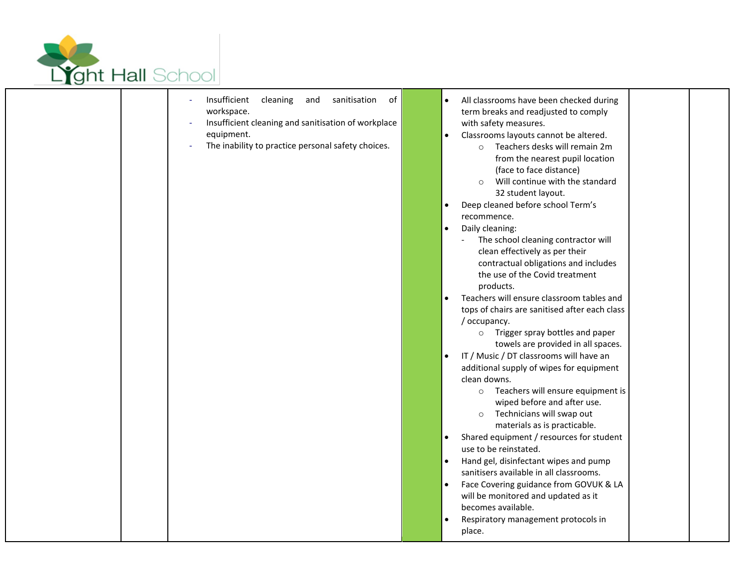

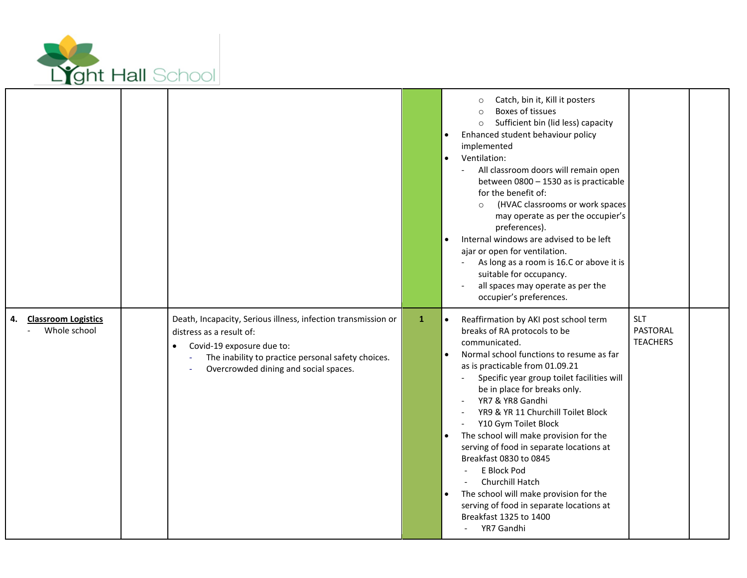

|                                                  |                                                                                                                                                                                                                                    |              | Catch, bin it, Kill it posters<br>$\Omega$<br>Boxes of tissues<br>Sufficient bin (lid less) capacity<br>$\circ$<br>Enhanced student behaviour policy<br>implemented<br>Ventilation:<br>$\bullet$<br>All classroom doors will remain open<br>between 0800 - 1530 as is practicable<br>for the benefit of:<br>(HVAC classrooms or work spaces<br>$\circ$<br>may operate as per the occupier's<br>preferences).<br>Internal windows are advised to be left<br>$\bullet$<br>ajar or open for ventilation.<br>As long as a room is 16.C or above it is<br>suitable for occupancy.<br>all spaces may operate as per the<br>occupier's preferences.                                                               |                                                  |  |
|--------------------------------------------------|------------------------------------------------------------------------------------------------------------------------------------------------------------------------------------------------------------------------------------|--------------|------------------------------------------------------------------------------------------------------------------------------------------------------------------------------------------------------------------------------------------------------------------------------------------------------------------------------------------------------------------------------------------------------------------------------------------------------------------------------------------------------------------------------------------------------------------------------------------------------------------------------------------------------------------------------------------------------------|--------------------------------------------------|--|
| <b>Classroom Logistics</b><br>4.<br>Whole school | Death, Incapacity, Serious illness, infection transmission or<br>distress as a result of:<br>Covid-19 exposure due to:<br>$\bullet$<br>The inability to practice personal safety choices.<br>Overcrowded dining and social spaces. | $\mathbf{1}$ | Reaffirmation by AKI post school term<br>$\bullet$<br>breaks of RA protocols to be<br>communicated.<br>Normal school functions to resume as far<br>as is practicable from 01.09.21<br>Specific year group toilet facilities will<br>be in place for breaks only.<br>YR7 & YR8 Gandhi<br>YR9 & YR 11 Churchill Toilet Block<br>Y10 Gym Toilet Block<br>The school will make provision for the<br>$\bullet$<br>serving of food in separate locations at<br>Breakfast 0830 to 0845<br>E Block Pod<br>$\blacksquare$<br>Churchill Hatch<br>The school will make provision for the<br>$\bullet$<br>serving of food in separate locations at<br>Breakfast 1325 to 1400<br>YR7 Gandhi<br>$\overline{\phantom{a}}$ | <b>SLT</b><br><b>PASTORAL</b><br><b>TEACHERS</b> |  |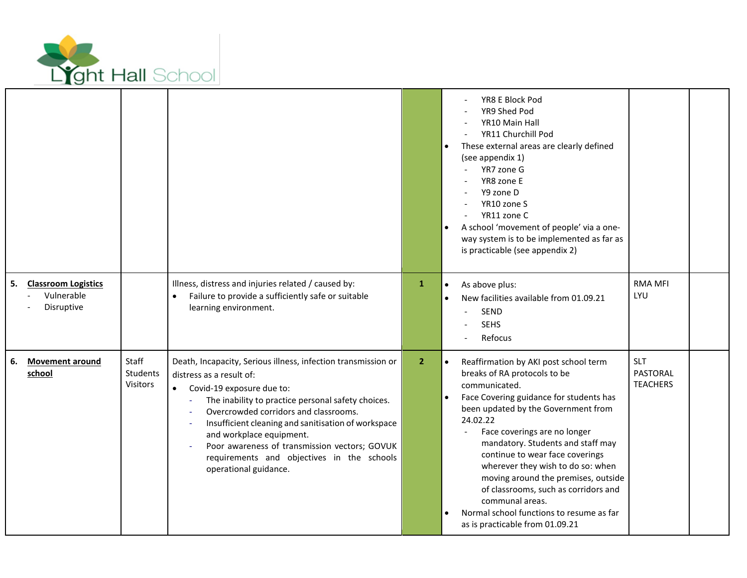

|                                                              |                                      |                                                                                                                                                                                                                                                                                                                                                                                                                                  |                | YR8 E Block Pod<br>YR9 Shed Pod<br>YR10 Main Hall<br>YR11 Churchill Pod<br>These external areas are clearly defined<br>(see appendix 1)<br>YR7 zone G<br>YR8 zone E<br>Y9 zone D<br>YR10 zone S<br>YR11 zone C<br>A school 'movement of people' via a one-<br>$\bullet$<br>way system is to be implemented as far as<br>is practicable (see appendix 2)                                                                                                                                                                                           |                                           |  |
|--------------------------------------------------------------|--------------------------------------|----------------------------------------------------------------------------------------------------------------------------------------------------------------------------------------------------------------------------------------------------------------------------------------------------------------------------------------------------------------------------------------------------------------------------------|----------------|---------------------------------------------------------------------------------------------------------------------------------------------------------------------------------------------------------------------------------------------------------------------------------------------------------------------------------------------------------------------------------------------------------------------------------------------------------------------------------------------------------------------------------------------------|-------------------------------------------|--|
| <b>Classroom Logistics</b><br>5.<br>Vulnerable<br>Disruptive |                                      | Illness, distress and injuries related / caused by:<br>Failure to provide a sufficiently safe or suitable<br>learning environment.                                                                                                                                                                                                                                                                                               | $\mathbf{1}$   | As above plus:<br>$\bullet$<br>New facilities available from 01.09.21<br>SEND<br><b>SEHS</b><br>Refocus                                                                                                                                                                                                                                                                                                                                                                                                                                           | <b>RMA MFI</b><br>LYU                     |  |
| 6.<br><b>Movement around</b><br>school                       | Staff<br><b>Students</b><br>Visitors | Death, Incapacity, Serious illness, infection transmission or<br>distress as a result of:<br>Covid-19 exposure due to:<br>The inability to practice personal safety choices.<br>Overcrowded corridors and classrooms.<br>Insufficient cleaning and sanitisation of workspace<br>and workplace equipment.<br>Poor awareness of transmission vectors; GOVUK<br>requirements and objectives in the schools<br>operational guidance. | $\overline{2}$ | $\bullet$<br>Reaffirmation by AKI post school term<br>breaks of RA protocols to be<br>communicated.<br>Face Covering guidance for students has<br>been updated by the Government from<br>24.02.22<br>Face coverings are no longer<br>$\blacksquare$<br>mandatory. Students and staff may<br>continue to wear face coverings<br>wherever they wish to do so: when<br>moving around the premises, outside<br>of classrooms, such as corridors and<br>communal areas.<br>Normal school functions to resume as far<br>as is practicable from 01.09.21 | <b>SLT</b><br>PASTORAL<br><b>TEACHERS</b> |  |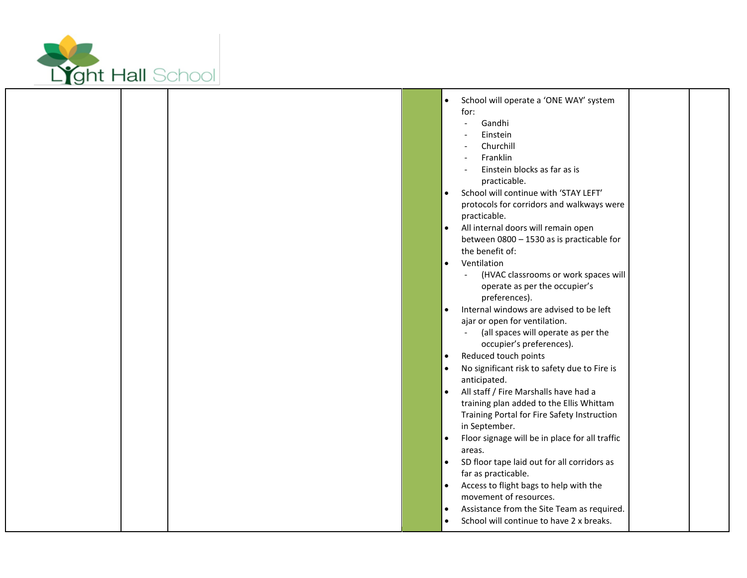

Г

L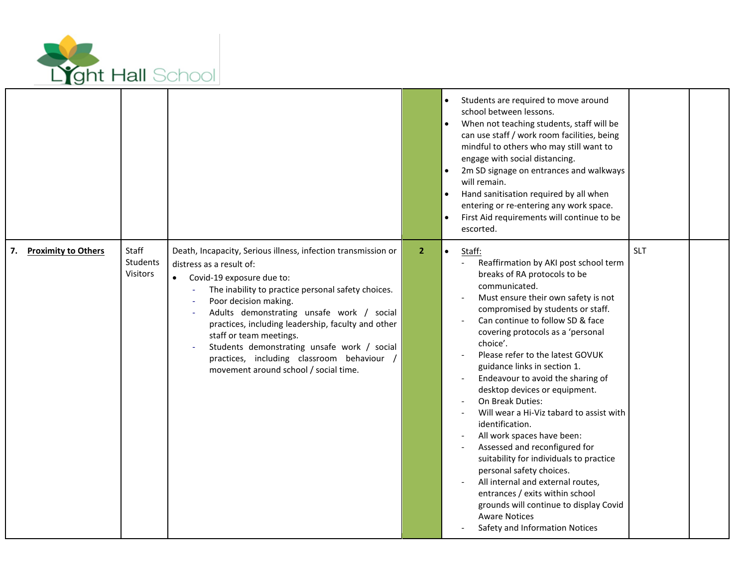

|                                  |                               |                                                                                                                                                                                                                                                                                                                                                                                                                                                                                             |                | Students are required to move around<br>school between lessons.<br>When not teaching students, staff will be<br>can use staff / work room facilities, being<br>mindful to others who may still want to<br>engage with social distancing.<br>2m SD signage on entrances and walkways<br>will remain.<br>Hand sanitisation required by all when<br>$\bullet$<br>entering or re-entering any work space.<br>First Aid requirements will continue to be<br>$\bullet$<br>escorted.                                                                                                                                                                                                                                                                                                                                                 |            |  |
|----------------------------------|-------------------------------|---------------------------------------------------------------------------------------------------------------------------------------------------------------------------------------------------------------------------------------------------------------------------------------------------------------------------------------------------------------------------------------------------------------------------------------------------------------------------------------------|----------------|-------------------------------------------------------------------------------------------------------------------------------------------------------------------------------------------------------------------------------------------------------------------------------------------------------------------------------------------------------------------------------------------------------------------------------------------------------------------------------------------------------------------------------------------------------------------------------------------------------------------------------------------------------------------------------------------------------------------------------------------------------------------------------------------------------------------------------|------------|--|
| <b>Proximity to Others</b><br>7. | Staff<br>Students<br>Visitors | Death, Incapacity, Serious illness, infection transmission or<br>distress as a result of:<br>Covid-19 exposure due to:<br>The inability to practice personal safety choices.<br>$\blacksquare$<br>Poor decision making.<br>Adults demonstrating unsafe work / social<br>practices, including leadership, faculty and other<br>staff or team meetings.<br>Students demonstrating unsafe work / social<br>practices, including classroom behaviour /<br>movement around school / social time. | 2 <sup>1</sup> | $\bullet$<br>Staff:<br>Reaffirmation by AKI post school term<br>breaks of RA protocols to be<br>communicated.<br>Must ensure their own safety is not<br>compromised by students or staff.<br>Can continue to follow SD & face<br>covering protocols as a 'personal<br>choice'.<br>Please refer to the latest GOVUK<br>guidance links in section 1.<br>Endeavour to avoid the sharing of<br>desktop devices or equipment.<br>On Break Duties:<br>Will wear a Hi-Viz tabard to assist with<br>identification.<br>All work spaces have been:<br>Assessed and reconfigured for<br>suitability for individuals to practice<br>personal safety choices.<br>All internal and external routes,<br>entrances / exits within school<br>grounds will continue to display Covid<br><b>Aware Notices</b><br>Safety and Information Notices | <b>SLT</b> |  |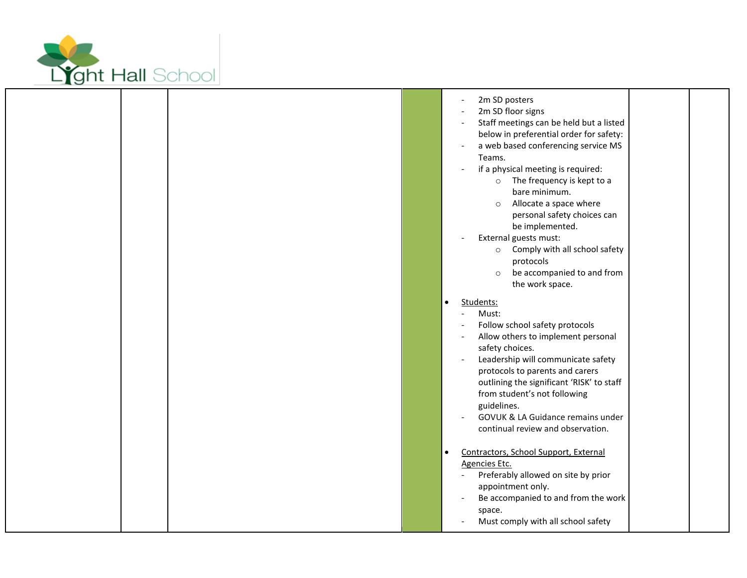

L

| 2m SD posters<br>2m SD floor signs<br>Staff meetings can be held but a listed<br>below in preferential order for safety:<br>a web based conferencing service MS<br>Teams.<br>if a physical meeting is required:<br>o The frequency is kept to a<br>bare minimum.<br>Allocate a space where<br>$\circ$<br>personal safety choices can<br>be implemented.<br>External guests must:<br>Comply with all school safety<br>$\circ$<br>protocols<br>be accompanied to and from<br>$\circ$<br>the work space.<br>Students:<br>$\bullet$<br>Must:<br>Follow school safety protocols<br>Allow others to implement personal<br>safety choices.<br>Leadership will communicate safety<br>$\overline{\phantom{a}}$<br>protocols to parents and carers<br>outlining the significant 'RISK' to staff<br>from student's not following<br>guidelines.<br>GOVUK & LA Guidance remains under<br>continual review and observation. |
|----------------------------------------------------------------------------------------------------------------------------------------------------------------------------------------------------------------------------------------------------------------------------------------------------------------------------------------------------------------------------------------------------------------------------------------------------------------------------------------------------------------------------------------------------------------------------------------------------------------------------------------------------------------------------------------------------------------------------------------------------------------------------------------------------------------------------------------------------------------------------------------------------------------|
| Contractors, School Support, External<br>$\bullet$<br><b>Agencies Etc.</b><br>Preferably allowed on site by prior<br>appointment only.<br>Be accompanied to and from the work<br>space.<br>Must comply with all school safety                                                                                                                                                                                                                                                                                                                                                                                                                                                                                                                                                                                                                                                                                  |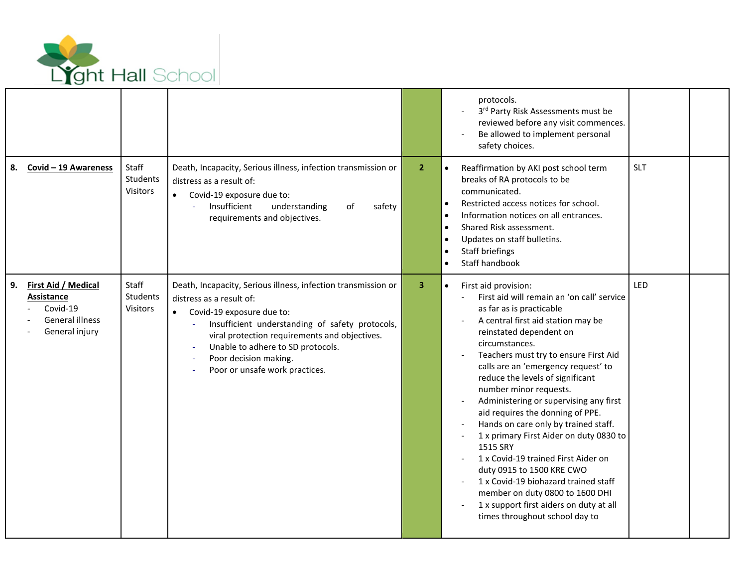

|                                                                                                 |                               |                                                                                                                                                                                                                                                                                                                            |                | protocols.<br>3rd Party Risk Assessments must be<br>reviewed before any visit commences.<br>Be allowed to implement personal<br>safety choices.                                                                                                                                                                                                                                                                                                                                                                                                                                                                                                                                                                                                       |            |  |
|-------------------------------------------------------------------------------------------------|-------------------------------|----------------------------------------------------------------------------------------------------------------------------------------------------------------------------------------------------------------------------------------------------------------------------------------------------------------------------|----------------|-------------------------------------------------------------------------------------------------------------------------------------------------------------------------------------------------------------------------------------------------------------------------------------------------------------------------------------------------------------------------------------------------------------------------------------------------------------------------------------------------------------------------------------------------------------------------------------------------------------------------------------------------------------------------------------------------------------------------------------------------------|------------|--|
| 8. Covid - 19 Awareness                                                                         | Staff<br>Students<br>Visitors | Death, Incapacity, Serious illness, infection transmission or<br>distress as a result of:<br>Covid-19 exposure due to:<br>$\bullet$<br>Insufficient<br>understanding<br>of<br>safety<br>requirements and objectives.                                                                                                       | $\overline{2}$ | Reaffirmation by AKI post school term<br>$\bullet$<br>breaks of RA protocols to be<br>communicated.<br>Restricted access notices for school.<br>$\bullet$<br>Information notices on all entrances.<br>$\bullet$<br>Shared Risk assessment.<br>$\bullet$<br>Updates on staff bulletins.<br>$\bullet$<br>Staff briefings<br>$\bullet$<br>Staff handbook                                                                                                                                                                                                                                                                                                                                                                                                 | <b>SLT</b> |  |
| First Aid / Medical<br>9.<br>Assistance<br>Covid-19<br><b>General illness</b><br>General injury | Staff<br>Students<br>Visitors | Death, Incapacity, Serious illness, infection transmission or<br>distress as a result of:<br>Covid-19 exposure due to:<br>Insufficient understanding of safety protocols,<br>viral protection requirements and objectives.<br>Unable to adhere to SD protocols.<br>Poor decision making.<br>Poor or unsafe work practices. | 3 <sup>1</sup> | First aid provision:<br>$\bullet$<br>First aid will remain an 'on call' service<br>as far as is practicable<br>A central first aid station may be<br>reinstated dependent on<br>circumstances.<br>Teachers must try to ensure First Aid<br>calls are an 'emergency request' to<br>reduce the levels of significant<br>number minor requests.<br>Administering or supervising any first<br>aid requires the donning of PPE.<br>Hands on care only by trained staff.<br>1 x primary First Aider on duty 0830 to<br>1515 SRY<br>1 x Covid-19 trained First Aider on<br>duty 0915 to 1500 KRE CWO<br>1 x Covid-19 biohazard trained staff<br>member on duty 0800 to 1600 DHI<br>1 x support first aiders on duty at all<br>times throughout school day to | LED        |  |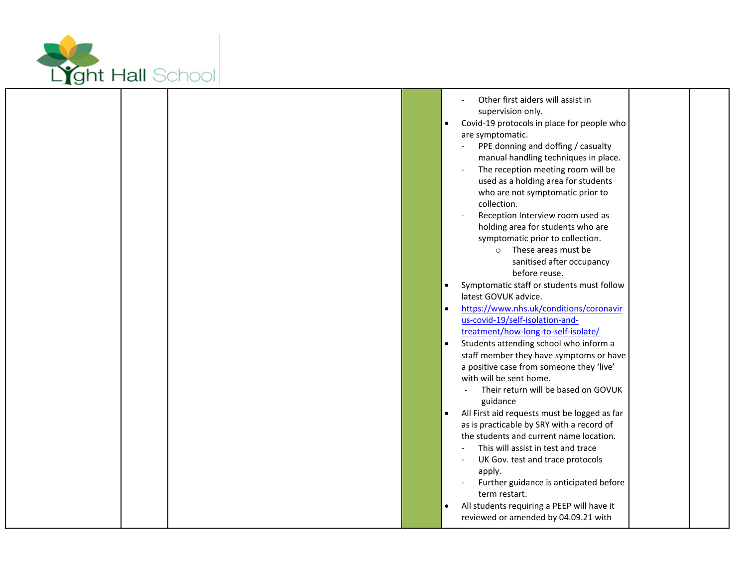

|  |  | Other first aiders will assist in<br>supervision only.<br>Covid-19 protocols in place for people who<br>$\bullet$<br>are symptomatic.<br>PPE donning and doffing / casualty<br>manual handling techniques in place.<br>The reception meeting room will be<br>used as a holding area for students<br>who are not symptomatic prior to<br>collection.<br>Reception Interview room used as<br>holding area for students who are<br>symptomatic prior to collection.<br>These areas must be<br>$\circ$<br>sanitised after occupancy<br>before reuse.<br>Symptomatic staff or students must follow<br>$\bullet$<br>latest GOVUK advice.<br>https://www.nhs.uk/conditions/coronavir<br>$\bullet$<br>us-covid-19/self-isolation-and-<br>treatment/how-long-to-self-isolate/<br>Students attending school who inform a<br>$\bullet$<br>staff member they have symptoms or have<br>a positive case from someone they 'live'<br>with will be sent home.<br>Their return will be based on GOVUK<br>guidance<br>All First aid requests must be logged as far<br>$\bullet$<br>as is practicable by SRY with a record of<br>the students and current name location.<br>This will assist in test and trace<br>UK Gov. test and trace protocols<br>apply. |
|--|--|-------------------------------------------------------------------------------------------------------------------------------------------------------------------------------------------------------------------------------------------------------------------------------------------------------------------------------------------------------------------------------------------------------------------------------------------------------------------------------------------------------------------------------------------------------------------------------------------------------------------------------------------------------------------------------------------------------------------------------------------------------------------------------------------------------------------------------------------------------------------------------------------------------------------------------------------------------------------------------------------------------------------------------------------------------------------------------------------------------------------------------------------------------------------------------------------------------------------------------------------|
|  |  | Further guidance is anticipated before<br>term restart.<br>All students requiring a PEEP will have it<br>$\bullet$<br>reviewed or amended by 04.09.21 with                                                                                                                                                                                                                                                                                                                                                                                                                                                                                                                                                                                                                                                                                                                                                                                                                                                                                                                                                                                                                                                                                |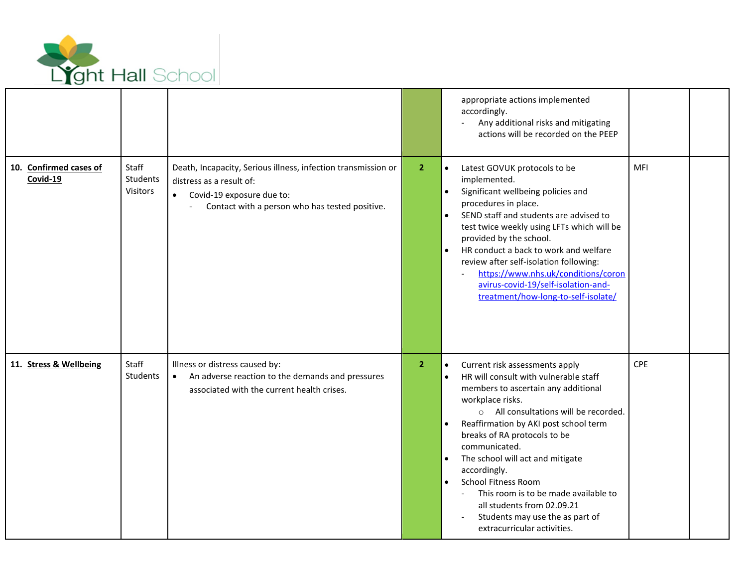

|                                    |                               |                                                                                                                                                                                       |                | appropriate actions implemented<br>accordingly.<br>Any additional risks and mitigating<br>actions will be recorded on the PEEP                                                                                                                                                                                                                                                                                                                                                                                                                                   |            |  |
|------------------------------------|-------------------------------|---------------------------------------------------------------------------------------------------------------------------------------------------------------------------------------|----------------|------------------------------------------------------------------------------------------------------------------------------------------------------------------------------------------------------------------------------------------------------------------------------------------------------------------------------------------------------------------------------------------------------------------------------------------------------------------------------------------------------------------------------------------------------------------|------------|--|
| 10. Confirmed cases of<br>Covid-19 | Staff<br>Students<br>Visitors | Death, Incapacity, Serious illness, infection transmission or<br>distress as a result of:<br>Covid-19 exposure due to:<br>$\bullet$<br>Contact with a person who has tested positive. | 2 <sup>1</sup> | Latest GOVUK protocols to be<br>$\bullet$<br>implemented.<br>Significant wellbeing policies and<br>$\bullet$<br>procedures in place.<br>SEND staff and students are advised to<br>test twice weekly using LFTs which will be<br>provided by the school.<br>HR conduct a back to work and welfare<br>review after self-isolation following:<br>https://www.nhs.uk/conditions/coron<br>avirus-covid-19/self-isolation-and-<br>treatment/how-long-to-self-isolate/                                                                                                  | <b>MFI</b> |  |
| 11. Stress & Wellbeing             | Staff<br>Students             | Illness or distress caused by:<br>An adverse reaction to the demands and pressures<br>$\bullet$<br>associated with the current health crises.                                         | 2 <sup>1</sup> | Current risk assessments apply<br>$\bullet$<br>HR will consult with vulnerable staff<br>$\bullet$<br>members to ascertain any additional<br>workplace risks.<br>o All consultations will be recorded.<br>Reaffirmation by AKI post school term<br>$\bullet$<br>breaks of RA protocols to be<br>communicated.<br>The school will act and mitigate<br>$\bullet$<br>accordingly.<br><b>School Fitness Room</b><br>$\bullet$<br>This room is to be made available to<br>all students from 02.09.21<br>Students may use the as part of<br>extracurricular activities. | CPE        |  |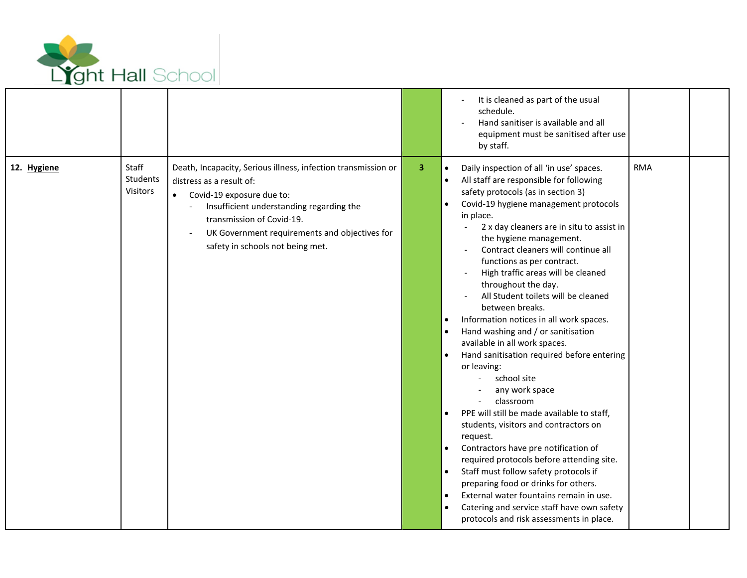

|             |                                      |                                                                                                                                                                                                                                                                                      |   | It is cleaned as part of the usual<br>schedule.<br>Hand sanitiser is available and all<br>equipment must be sanitised after use<br>by staff.                                                                                                                                                                                                                                                                                                                                                                                                                                                                                                                                                                                                                                                                                                                                                                                                                                                                                                                                                                                                                                      |            |  |
|-------------|--------------------------------------|--------------------------------------------------------------------------------------------------------------------------------------------------------------------------------------------------------------------------------------------------------------------------------------|---|-----------------------------------------------------------------------------------------------------------------------------------------------------------------------------------------------------------------------------------------------------------------------------------------------------------------------------------------------------------------------------------------------------------------------------------------------------------------------------------------------------------------------------------------------------------------------------------------------------------------------------------------------------------------------------------------------------------------------------------------------------------------------------------------------------------------------------------------------------------------------------------------------------------------------------------------------------------------------------------------------------------------------------------------------------------------------------------------------------------------------------------------------------------------------------------|------------|--|
| 12. Hygiene | Staff<br><b>Students</b><br>Visitors | Death, Incapacity, Serious illness, infection transmission or<br>distress as a result of:<br>Covid-19 exposure due to:<br>Insufficient understanding regarding the<br>transmission of Covid-19.<br>UK Government requirements and objectives for<br>safety in schools not being met. | 3 | Daily inspection of all 'in use' spaces.<br>$\bullet$<br>All staff are responsible for following<br>$\bullet$<br>safety protocols (as in section 3)<br>Covid-19 hygiene management protocols<br>$\bullet$<br>in place.<br>2 x day cleaners are in situ to assist in<br>$\blacksquare$<br>the hygiene management.<br>Contract cleaners will continue all<br>functions as per contract.<br>High traffic areas will be cleaned<br>throughout the day.<br>All Student toilets will be cleaned<br>between breaks.<br>Information notices in all work spaces.<br>Hand washing and / or sanitisation<br>available in all work spaces.<br>Hand sanitisation required before entering<br>or leaving:<br>school site<br>any work space<br>classroom<br>PPE will still be made available to staff,<br>students, visitors and contractors on<br>request.<br>Contractors have pre notification of<br>required protocols before attending site.<br>Staff must follow safety protocols if<br>$\bullet$<br>preparing food or drinks for others.<br>External water fountains remain in use.<br>$\bullet$<br>Catering and service staff have own safety<br>protocols and risk assessments in place. | <b>RMA</b> |  |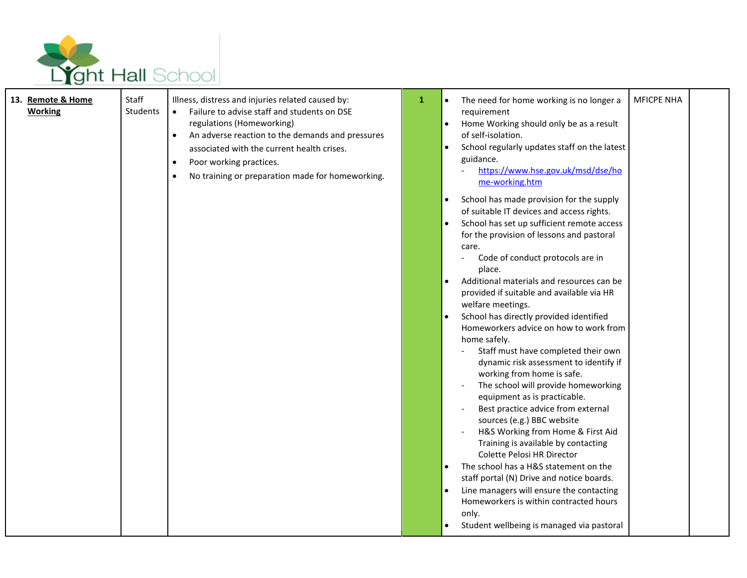

| 13. Remote & Home<br><b>Working</b> | Staff<br>Students | Illness, distress and injuries related caused by:<br>Failure to advise staff and students on DSE<br>$\bullet$<br>regulations (Homeworking)<br>An adverse reaction to the demands and pressures<br>$\bullet$<br>associated with the current health crises.<br>Poor working practices.<br>$\bullet$<br>No training or preparation made for homeworking. | 1 | The need for home working is no longer a<br>$\bullet$<br>requirement<br>Home Working should only be as a result<br>$\bullet$<br>of self-isolation.<br>School regularly updates staff on the latest<br>$\bullet$<br>guidance.<br>https://www.hse.gov.uk/msd/dse/ho<br>me-working.htm<br>School has made provision for the supply<br>$\bullet$<br>of suitable IT devices and access rights.<br>School has set up sufficient remote access<br>for the provision of lessons and pastoral<br>care.<br>Code of conduct protocols are in<br>place.<br>Additional materials and resources can be<br>$\bullet$<br>provided if suitable and available via HR<br>welfare meetings.<br>School has directly provided identified<br>Homeworkers advice on how to work from<br>home safely.<br>Staff must have completed their own<br>dynamic risk assessment to identify if<br>working from home is safe.<br>The school will provide homeworking<br>equipment as is practicable.<br>Best practice advice from external<br>sources (e.g.) BBC website<br>H&S Working from Home & First Aid | <b>MFICPE NHA</b> |
|-------------------------------------|-------------------|-------------------------------------------------------------------------------------------------------------------------------------------------------------------------------------------------------------------------------------------------------------------------------------------------------------------------------------------------------|---|-----------------------------------------------------------------------------------------------------------------------------------------------------------------------------------------------------------------------------------------------------------------------------------------------------------------------------------------------------------------------------------------------------------------------------------------------------------------------------------------------------------------------------------------------------------------------------------------------------------------------------------------------------------------------------------------------------------------------------------------------------------------------------------------------------------------------------------------------------------------------------------------------------------------------------------------------------------------------------------------------------------------------------------------------------------------------------|-------------------|
|                                     |                   |                                                                                                                                                                                                                                                                                                                                                       |   | Training is available by contacting<br>Colette Pelosi HR Director<br>The school has a H&S statement on the<br>staff portal (N) Drive and notice boards.<br>Line managers will ensure the contacting<br>Homeworkers is within contracted hours<br>only.<br>Student wellbeing is managed via pastoral                                                                                                                                                                                                                                                                                                                                                                                                                                                                                                                                                                                                                                                                                                                                                                         |                   |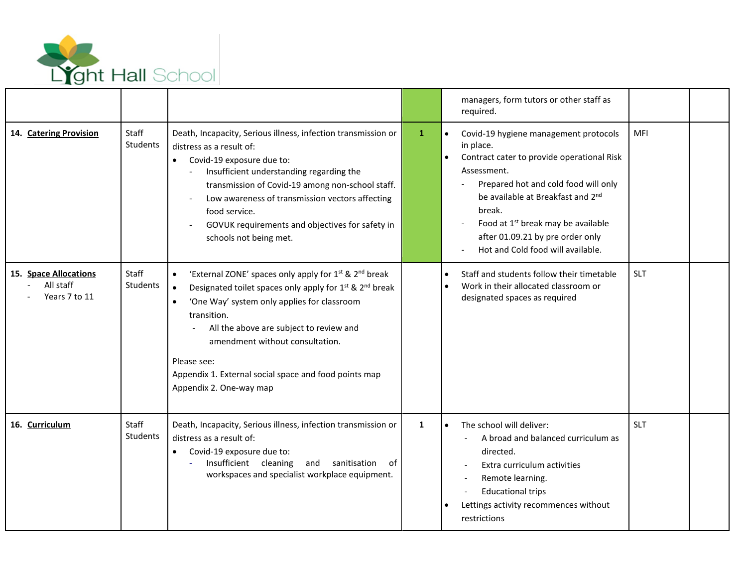

|                                                     |                   |                                                                                                                                                                                                                                                                                                                                                                                                                                           |              | managers, form tutors or other staff as<br>required.                                                                                                                                                                                                                                                                                                        |            |  |
|-----------------------------------------------------|-------------------|-------------------------------------------------------------------------------------------------------------------------------------------------------------------------------------------------------------------------------------------------------------------------------------------------------------------------------------------------------------------------------------------------------------------------------------------|--------------|-------------------------------------------------------------------------------------------------------------------------------------------------------------------------------------------------------------------------------------------------------------------------------------------------------------------------------------------------------------|------------|--|
| 14. Catering Provision                              | Staff<br>Students | Death, Incapacity, Serious illness, infection transmission or<br>distress as a result of:<br>Covid-19 exposure due to:<br>$\bullet$<br>Insufficient understanding regarding the<br>transmission of Covid-19 among non-school staff.<br>Low awareness of transmission vectors affecting<br>food service.<br>GOVUK requirements and objectives for safety in<br>schools not being met.                                                      | $\mathbf{1}$ | $\bullet$<br>Covid-19 hygiene management protocols<br>in place.<br>Contract cater to provide operational Risk<br>$\bullet$<br>Assessment.<br>Prepared hot and cold food will only<br>be available at Breakfast and 2nd<br>break.<br>Food at 1 <sup>st</sup> break may be available<br>after 01.09.21 by pre order only<br>Hot and Cold food will available. | <b>MFI</b> |  |
| 15. Space Allocations<br>All staff<br>Years 7 to 11 | Staff<br>Students | 'External ZONE' spaces only apply for 1 <sup>st</sup> & 2 <sup>nd</sup> break<br>Designated toilet spaces only apply for 1 <sup>st</sup> & 2 <sup>nd</sup> break<br>$\bullet$<br>'One Way' system only applies for classroom<br>$\bullet$<br>transition.<br>All the above are subject to review and<br>amendment without consultation.<br>Please see:<br>Appendix 1. External social space and food points map<br>Appendix 2. One-way map |              | Staff and students follow their timetable<br>$\bullet$<br>Work in their allocated classroom or<br>$\bullet$<br>designated spaces as required                                                                                                                                                                                                                | SLT        |  |
| 16. Curriculum                                      | Staff<br>Students | Death, Incapacity, Serious illness, infection transmission or<br>distress as a result of:<br>Covid-19 exposure due to:<br>Insufficient cleaning<br>sanitisation<br>and<br>of<br>workspaces and specialist workplace equipment.                                                                                                                                                                                                            | 1            | The school will deliver:<br>$\bullet$<br>A broad and balanced curriculum as<br>directed.<br>Extra curriculum activities<br>Remote learning.<br><b>Educational trips</b><br>Lettings activity recommences without<br>restrictions                                                                                                                            | <b>SLT</b> |  |